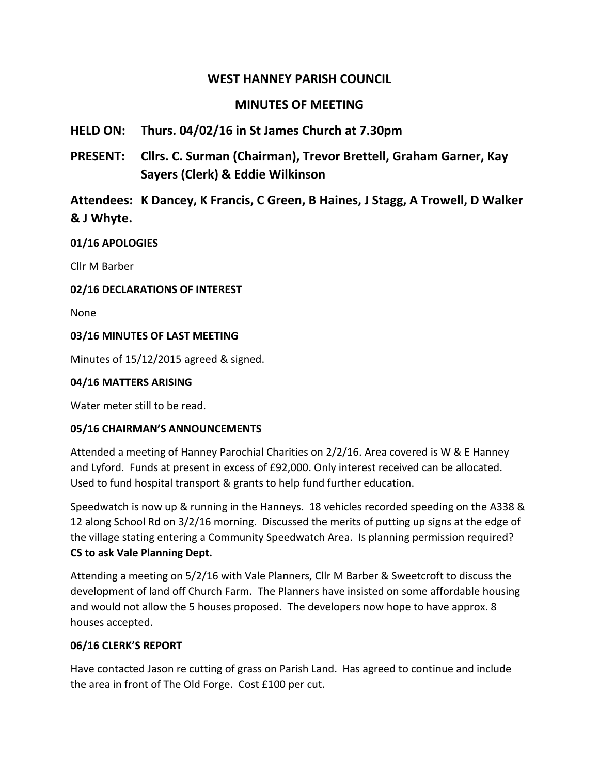# **WEST HANNEY PARISH COUNCIL**

# **MINUTES OF MEETING**

# **HELD ON: Thurs. 04/02/16 in St James Church at 7.30pm**

**PRESENT: Cllrs. C. Surman (Chairman), Trevor Brettell, Graham Garner, Kay Sayers (Clerk) & Eddie Wilkinson**

# **Attendees: K Dancey, K Francis, C Green, B Haines, J Stagg, A Trowell, D Walker & J Whyte.**

#### **01/16 APOLOGIES**

Cllr M Barber

## **02/16 DECLARATIONS OF INTEREST**

None

#### **03/16 MINUTES OF LAST MEETING**

Minutes of 15/12/2015 agreed & signed.

#### **04/16 MATTERS ARISING**

Water meter still to be read.

#### **05/16 CHAIRMAN'S ANNOUNCEMENTS**

Attended a meeting of Hanney Parochial Charities on 2/2/16. Area covered is W & E Hanney and Lyford. Funds at present in excess of £92,000. Only interest received can be allocated. Used to fund hospital transport & grants to help fund further education.

Speedwatch is now up & running in the Hanneys. 18 vehicles recorded speeding on the A338 & 12 along School Rd on 3/2/16 morning. Discussed the merits of putting up signs at the edge of the village stating entering a Community Speedwatch Area. Is planning permission required? **CS to ask Vale Planning Dept.**

Attending a meeting on 5/2/16 with Vale Planners, Cllr M Barber & Sweetcroft to discuss the development of land off Church Farm. The Planners have insisted on some affordable housing and would not allow the 5 houses proposed. The developers now hope to have approx. 8 houses accepted.

#### **06/16 CLERK'S REPORT**

Have contacted Jason re cutting of grass on Parish Land. Has agreed to continue and include the area in front of The Old Forge. Cost £100 per cut.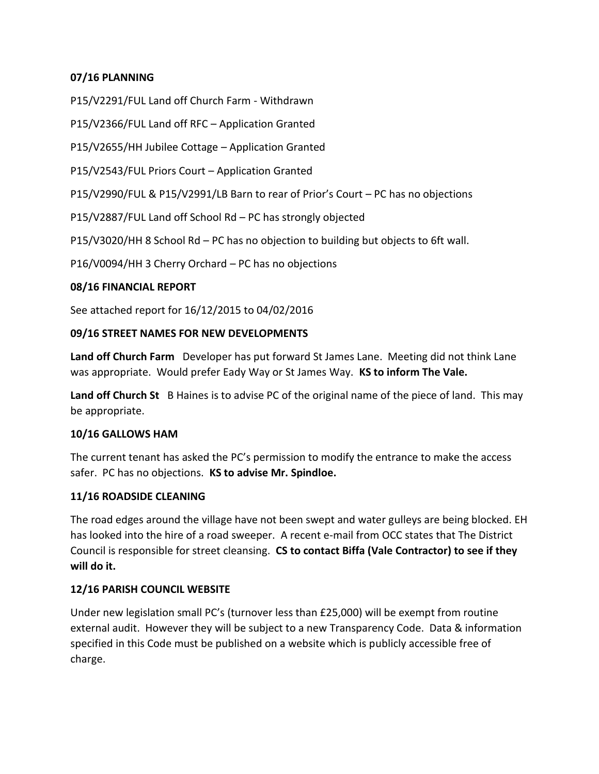#### **07/16 PLANNING**

P15/V2291/FUL Land off Church Farm - Withdrawn

P15/V2366/FUL Land off RFC – Application Granted

P15/V2655/HH Jubilee Cottage – Application Granted

P15/V2543/FUL Priors Court – Application Granted

P15/V2990/FUL & P15/V2991/LB Barn to rear of Prior's Court – PC has no objections

P15/V2887/FUL Land off School Rd – PC has strongly objected

P15/V3020/HH 8 School Rd – PC has no objection to building but objects to 6ft wall.

P16/V0094/HH 3 Cherry Orchard – PC has no objections

#### **08/16 FINANCIAL REPORT**

See attached report for 16/12/2015 to 04/02/2016

#### **09/16 STREET NAMES FOR NEW DEVELOPMENTS**

**Land off Church Farm** Developer has put forward St James Lane. Meeting did not think Lane was appropriate. Would prefer Eady Way or St James Way. **KS to inform The Vale.**

**Land off Church St** B Haines is to advise PC of the original name of the piece of land. This may be appropriate.

#### **10/16 GALLOWS HAM**

The current tenant has asked the PC's permission to modify the entrance to make the access safer. PC has no objections. **KS to advise Mr. Spindloe.**

#### **11/16 ROADSIDE CLEANING**

The road edges around the village have not been swept and water gulleys are being blocked. EH has looked into the hire of a road sweeper. A recent e-mail from OCC states that The District Council is responsible for street cleansing. **CS to contact Biffa (Vale Contractor) to see if they will do it.**

#### **12/16 PARISH COUNCIL WEBSITE**

Under new legislation small PC's (turnover less than £25,000) will be exempt from routine external audit. However they will be subject to a new Transparency Code. Data & information specified in this Code must be published on a website which is publicly accessible free of charge.